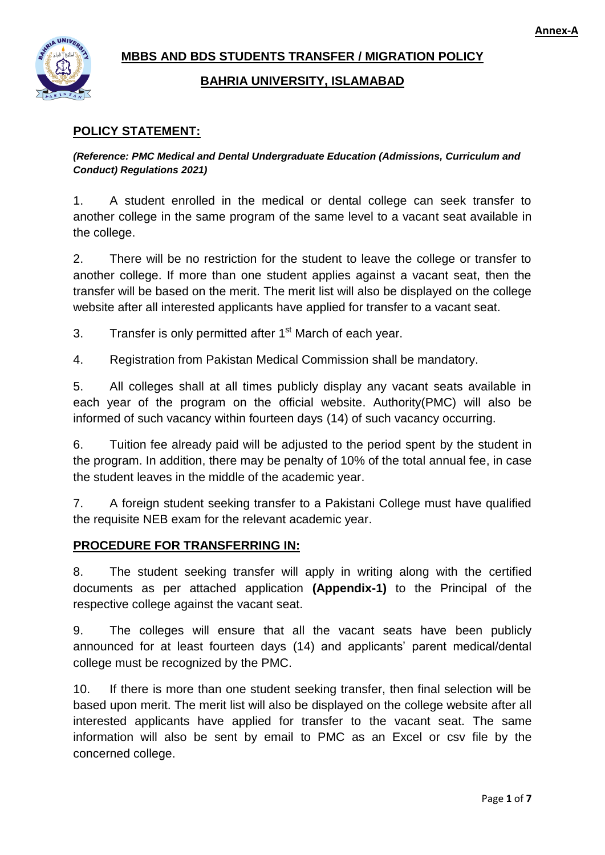

# **MBBS AND BDS STUDENTS TRANSFER / MIGRATION POLICY**

## **BAHRIA UNIVERSITY, ISLAMABAD**

# **POLICY STATEMENT:**

*(Reference: PMC Medical and Dental Undergraduate Education (Admissions, Curriculum and Conduct) Regulations 2021)*

1. A student enrolled in the medical or dental college can seek transfer to another college in the same program of the same level to a vacant seat available in the college.

2. There will be no restriction for the student to leave the college or transfer to another college. If more than one student applies against a vacant seat, then the transfer will be based on the merit. The merit list will also be displayed on the college website after all interested applicants have applied for transfer to a vacant seat.

3. Transfer is only permitted after  $1<sup>st</sup>$  March of each year.

4. Registration from Pakistan Medical Commission shall be mandatory.

5. All colleges shall at all times publicly display any vacant seats available in each year of the program on the official website. Authority(PMC) will also be informed of such vacancy within fourteen days (14) of such vacancy occurring.

6. Tuition fee already paid will be adjusted to the period spent by the student in the program. In addition, there may be penalty of 10% of the total annual fee, in case the student leaves in the middle of the academic year.

7. A foreign student seeking transfer to a Pakistani College must have qualified the requisite NEB exam for the relevant academic year.

# **PROCEDURE FOR TRANSFERRING IN:**

8. The student seeking transfer will apply in writing along with the certified documents as per attached application **(Appendix-1)** to the Principal of the respective college against the vacant seat.

9. The colleges will ensure that all the vacant seats have been publicly announced for at least fourteen days (14) and applicants' parent medical/dental college must be recognized by the PMC.

10. If there is more than one student seeking transfer, then final selection will be based upon merit. The merit list will also be displayed on the college website after all interested applicants have applied for transfer to the vacant seat. The same information will also be sent by email to PMC as an Excel or csv file by the concerned college.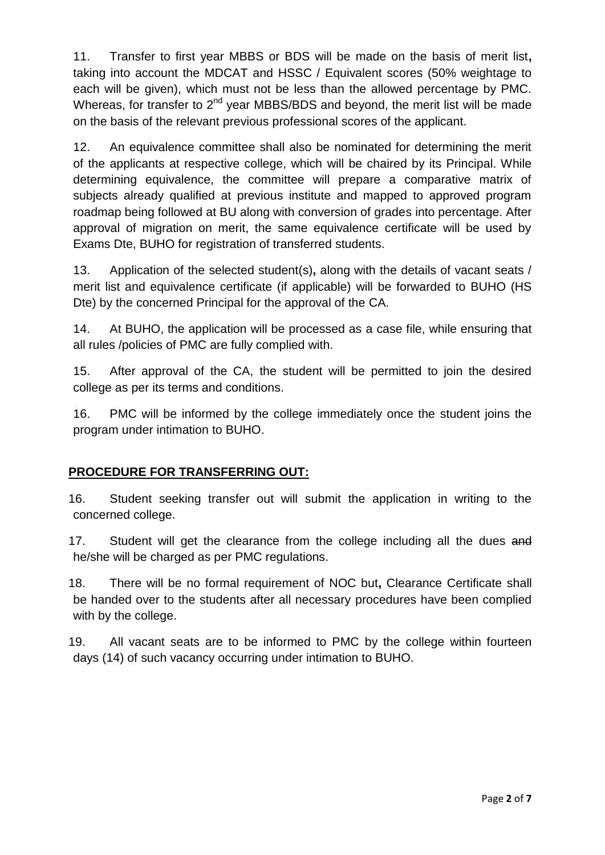11. Transfer to first year MBBS or BDS will be made on the basis of merit list**,** taking into account the MDCAT and HSSC / Equivalent scores (50% weightage to each will be given), which must not be less than the allowed percentage by PMC. Whereas, for transfer to  $2^{nd}$  year MBBS/BDS and beyond, the merit list will be made on the basis of the relevant previous professional scores of the applicant.

12. An equivalence committee shall also be nominated for determining the merit of the applicants at respective college, which will be chaired by its Principal. While determining equivalence, the committee will prepare a comparative matrix of subjects already qualified at previous institute and mapped to approved program roadmap being followed at BU along with conversion of grades into percentage. After approval of migration on merit, the same equivalence certificate will be used by Exams Dte, BUHO for registration of transferred students.

13. Application of the selected student(s)**,** along with the details of vacant seats / merit list and equivalence certificate (if applicable) will be forwarded to BUHO (HS Dte) by the concerned Principal for the approval of the CA.

14. At BUHO, the application will be processed as a case file, while ensuring that all rules /policies of PMC are fully complied with.

15. After approval of the CA, the student will be permitted to join the desired college as per its terms and conditions.

16. PMC will be informed by the college immediately once the student joins the program under intimation to BUHO.

# **PROCEDURE FOR TRANSFERRING OUT:**

16. Student seeking transfer out will submit the application in writing to the concerned college.

17. Student will get the clearance from the college including all the dues and he/she will be charged as per PMC regulations.

18. There will be no formal requirement of NOC but**,** Clearance Certificate shall be handed over to the students after all necessary procedures have been complied with by the college.

19. All vacant seats are to be informed to PMC by the college within fourteen days (14) of such vacancy occurring under intimation to BUHO.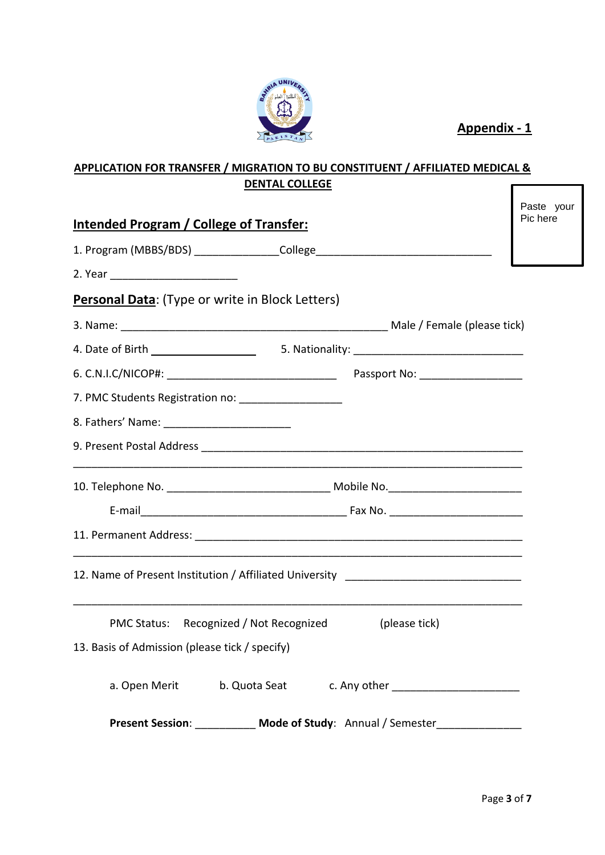

**Appendix - 1**

#### **APPLICATION FOR TRANSFER / MIGRATION TO BU CONSTITUENT / AFFILIATED MEDICAL & DENTAL COLLEGE** ſ

| <u><b>Intended Program / College of Transfer:</b></u>                                                                           | Paste your<br>Pic here |
|---------------------------------------------------------------------------------------------------------------------------------|------------------------|
|                                                                                                                                 |                        |
|                                                                                                                                 |                        |
| Personal Data: (Type or write in Block Letters)                                                                                 |                        |
|                                                                                                                                 |                        |
|                                                                                                                                 |                        |
|                                                                                                                                 |                        |
| 7. PMC Students Registration no: __________________                                                                             |                        |
|                                                                                                                                 |                        |
|                                                                                                                                 |                        |
| 10. Telephone No. __________________________________ Mobile No. _________________                                               |                        |
|                                                                                                                                 |                        |
|                                                                                                                                 |                        |
| 12. Name of Present Institution / Affiliated University ________________________                                                |                        |
| PMC Status: Recognized / Not Recognized<br>(please tick)                                                                        |                        |
| 13. Basis of Admission (please tick / specify)                                                                                  |                        |
| b. Quota Seat c. Any other contains the control of the control of the control of the control of the control of<br>a. Open Merit |                        |
| <b>Present Session:</b> Mode of Study: Annual / Semester                                                                        |                        |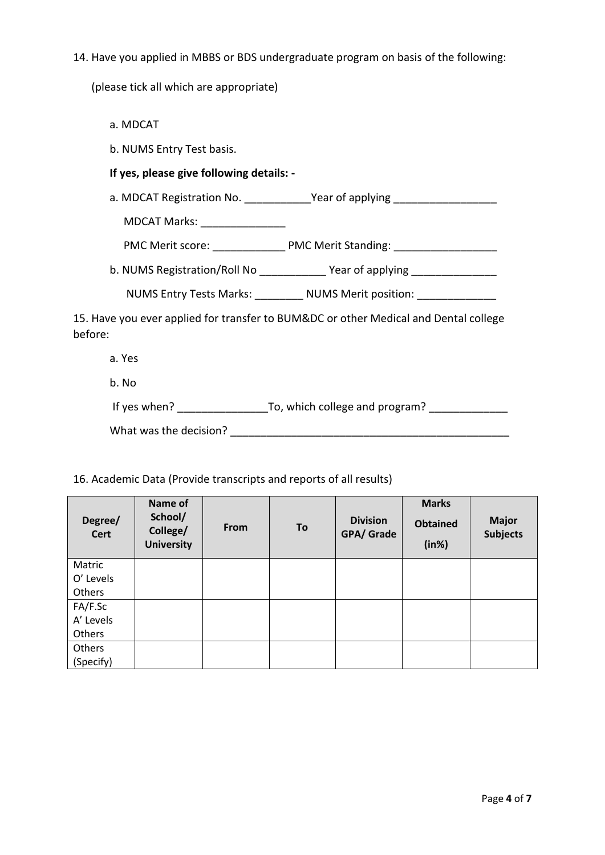14. Have you applied in MBBS or BDS undergraduate program on basis of the following:

(please tick all which are appropriate)

- a. MDCAT
- b. NUMS Entry Test basis.

### **If yes, please give following details: -**

a. MDCAT Registration No. \_\_\_\_\_\_\_\_\_\_\_\_Year of applying \_\_\_\_\_\_\_\_\_\_\_\_\_\_\_\_\_\_\_\_\_\_\_\_\_

MDCAT Marks: \_\_\_\_\_\_\_\_\_\_\_\_\_\_

PMC Merit score: \_\_\_\_\_\_\_\_\_\_\_\_\_\_ PMC Merit Standing: \_\_\_\_\_\_\_\_\_\_\_\_\_\_\_\_\_\_\_\_\_\_\_\_\_\_\_\_

b. NUMS Registration/Roll No \_\_\_\_\_\_\_\_\_\_\_\_ Year of applying \_\_\_\_\_\_\_\_\_\_\_\_\_\_\_\_

NUMS Entry Tests Marks: \_\_\_\_\_\_\_\_\_ NUMS Merit position: \_\_\_\_\_\_\_\_\_\_\_\_\_\_\_\_\_\_\_\_\_\_\_\_\_

15. Have you ever applied for transfer to BUM&DC or other Medical and Dental college before:

- a. Yes
- b. No

| If yes when? | To, which college and program? |
|--------------|--------------------------------|
|              |                                |

What was the decision? \_\_\_\_\_\_\_\_\_\_\_\_\_\_\_\_\_\_\_\_\_\_\_\_\_\_\_\_\_\_\_\_\_\_\_\_\_\_\_\_\_\_\_\_\_\_

16. Academic Data (Provide transcripts and reports of all results)

| Degree/<br><b>Cert</b> | Name of<br>School/<br>College/<br><b>University</b> | <b>From</b> | To | <b>Division</b><br>GPA/ Grade | <b>Marks</b><br><b>Obtained</b><br>(in%) | <b>Major</b><br><b>Subjects</b> |
|------------------------|-----------------------------------------------------|-------------|----|-------------------------------|------------------------------------------|---------------------------------|
| Matric                 |                                                     |             |    |                               |                                          |                                 |
| O' Levels              |                                                     |             |    |                               |                                          |                                 |
| Others                 |                                                     |             |    |                               |                                          |                                 |
| FA/F.Sc                |                                                     |             |    |                               |                                          |                                 |
| A' Levels              |                                                     |             |    |                               |                                          |                                 |
| Others                 |                                                     |             |    |                               |                                          |                                 |
| Others                 |                                                     |             |    |                               |                                          |                                 |
| (Specify)              |                                                     |             |    |                               |                                          |                                 |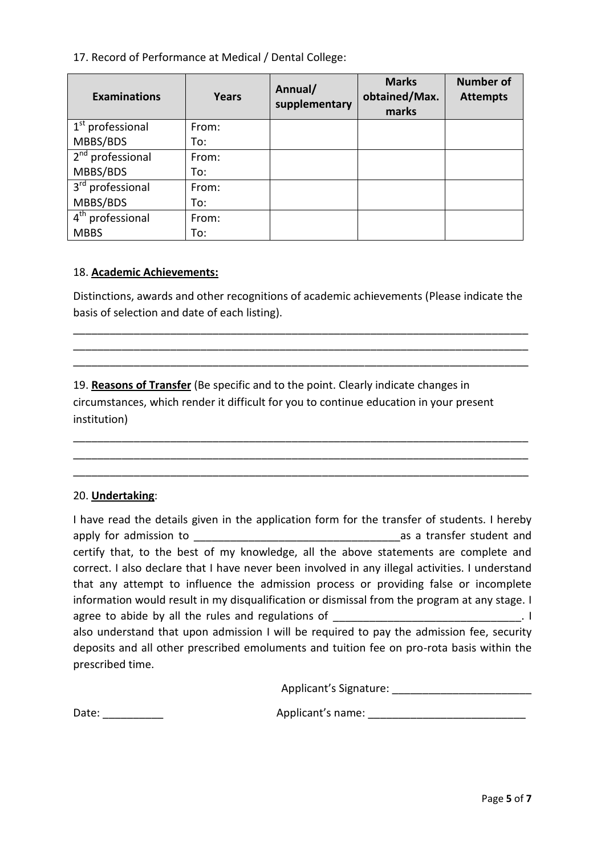17. Record of Performance at Medical / Dental College:

| <b>Examinations</b>          | Years | Annual/<br>supplementary | <b>Marks</b><br>obtained/Max.<br>marks | <b>Number of</b><br><b>Attempts</b> |
|------------------------------|-------|--------------------------|----------------------------------------|-------------------------------------|
| $1st$ professional           | From: |                          |                                        |                                     |
| MBBS/BDS                     | To:   |                          |                                        |                                     |
| 2 <sup>nd</sup> professional | From: |                          |                                        |                                     |
| MBBS/BDS                     | To:   |                          |                                        |                                     |
| 3 <sup>rd</sup> professional | From: |                          |                                        |                                     |
| MBBS/BDS                     | To:   |                          |                                        |                                     |
| 4 <sup>th</sup> professional | From: |                          |                                        |                                     |
| <b>MBBS</b>                  | To:   |                          |                                        |                                     |

#### 18. **Academic Achievements:**

Distinctions, awards and other recognitions of academic achievements (Please indicate the basis of selection and date of each listing).

\_\_\_\_\_\_\_\_\_\_\_\_\_\_\_\_\_\_\_\_\_\_\_\_\_\_\_\_\_\_\_\_\_\_\_\_\_\_\_\_\_\_\_\_\_\_\_\_\_\_\_\_\_\_\_\_\_\_\_\_\_\_\_\_\_\_\_\_\_\_\_\_\_\_\_ \_\_\_\_\_\_\_\_\_\_\_\_\_\_\_\_\_\_\_\_\_\_\_\_\_\_\_\_\_\_\_\_\_\_\_\_\_\_\_\_\_\_\_\_\_\_\_\_\_\_\_\_\_\_\_\_\_\_\_\_\_\_\_\_\_\_\_\_\_\_\_\_\_\_\_ \_\_\_\_\_\_\_\_\_\_\_\_\_\_\_\_\_\_\_\_\_\_\_\_\_\_\_\_\_\_\_\_\_\_\_\_\_\_\_\_\_\_\_\_\_\_\_\_\_\_\_\_\_\_\_\_\_\_\_\_\_\_\_\_\_\_\_\_\_\_\_\_\_\_\_

\_\_\_\_\_\_\_\_\_\_\_\_\_\_\_\_\_\_\_\_\_\_\_\_\_\_\_\_\_\_\_\_\_\_\_\_\_\_\_\_\_\_\_\_\_\_\_\_\_\_\_\_\_\_\_\_\_\_\_\_\_\_\_\_\_\_\_\_\_\_\_\_\_\_\_ \_\_\_\_\_\_\_\_\_\_\_\_\_\_\_\_\_\_\_\_\_\_\_\_\_\_\_\_\_\_\_\_\_\_\_\_\_\_\_\_\_\_\_\_\_\_\_\_\_\_\_\_\_\_\_\_\_\_\_\_\_\_\_\_\_\_\_\_\_\_\_\_\_\_\_ \_\_\_\_\_\_\_\_\_\_\_\_\_\_\_\_\_\_\_\_\_\_\_\_\_\_\_\_\_\_\_\_\_\_\_\_\_\_\_\_\_\_\_\_\_\_\_\_\_\_\_\_\_\_\_\_\_\_\_\_\_\_\_\_\_\_\_\_\_\_\_\_\_\_\_

19. **Reasons of Transfer** (Be specific and to the point. Clearly indicate changes in circumstances, which render it difficult for you to continue education in your present institution)

#### 20. **Undertaking**:

| I have read the details given in the application form for the transfer of students. I hereby                  |  |
|---------------------------------------------------------------------------------------------------------------|--|
| apply for admission to<br>as a transfer student and                                                           |  |
| certify that, to the best of my knowledge, all the above statements are complete and                          |  |
| correct. I also declare that I have never been involved in any illegal activities. I understand               |  |
| that any attempt to influence the admission process or providing false or incomplete                          |  |
| information would result in my disqualification or dismissal from the program at any stage. I                 |  |
| agree to abide by all the rules and regulations of _____________________________                              |  |
| also understand that upon admission I will be required to pay the admission fee, security                     |  |
| deposits and all other prescribed emoluments and tuition fee on pro-rota basis within the<br>prescribed time. |  |
|                                                                                                               |  |

Applicant's Signature: \_\_\_\_\_\_\_\_\_\_\_\_\_\_\_\_\_\_\_\_\_\_\_

Date: \_\_\_\_\_\_\_\_\_\_ Applicant's name: \_\_\_\_\_\_\_\_\_\_\_\_\_\_\_\_\_\_\_\_\_\_\_\_\_\_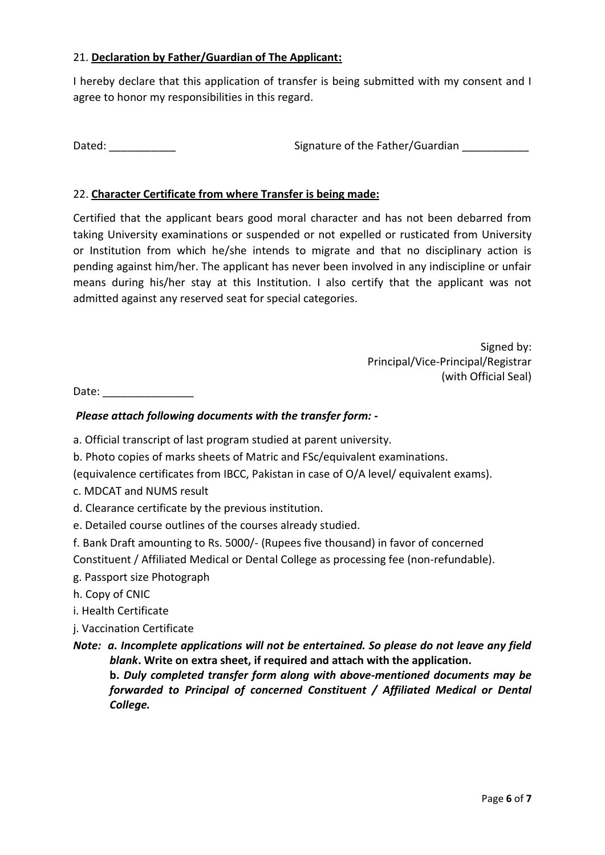## 21. **Declaration by Father/Guardian of The Applicant:**

I hereby declare that this application of transfer is being submitted with my consent and I agree to honor my responsibilities in this regard.

Dated: \_\_\_\_\_\_\_\_\_\_\_ Signature of the Father/Guardian \_\_\_\_\_\_\_\_\_\_\_

## 22. **Character Certificate from where Transfer is being made:**

Certified that the applicant bears good moral character and has not been debarred from taking University examinations or suspended or not expelled or rusticated from University or Institution from which he/she intends to migrate and that no disciplinary action is pending against him/her. The applicant has never been involved in any indiscipline or unfair means during his/her stay at this Institution. I also certify that the applicant was not admitted against any reserved seat for special categories.

> Signed by: Principal/Vice-Principal/Registrar (with Official Seal)

Date:  $\Box$ 

## *Please attach following documents with the transfer form: -*

- a. Official transcript of last program studied at parent university.
- b. Photo copies of marks sheets of Matric and FSc/equivalent examinations.
- (equivalence certificates from IBCC, Pakistan in case of O/A level/ equivalent exams).
- c. MDCAT and NUMS result
- d. Clearance certificate by the previous institution.
- e. Detailed course outlines of the courses already studied.
- f. Bank Draft amounting to Rs. 5000/- (Rupees five thousand) in favor of concerned

Constituent / Affiliated Medical or Dental College as processing fee (non-refundable).

- g. Passport size Photograph
- h. Copy of CNIC
- i. Health Certificate
- j. Vaccination Certificate

*College.*

*Note: a. Incomplete applications will not be entertained. So please do not leave any field blank***. Write on extra sheet, if required and attach with the application. b.** *Duly completed transfer form along with above-mentioned documents may be forwarded to Principal of concerned Constituent / Affiliated Medical or Dental*